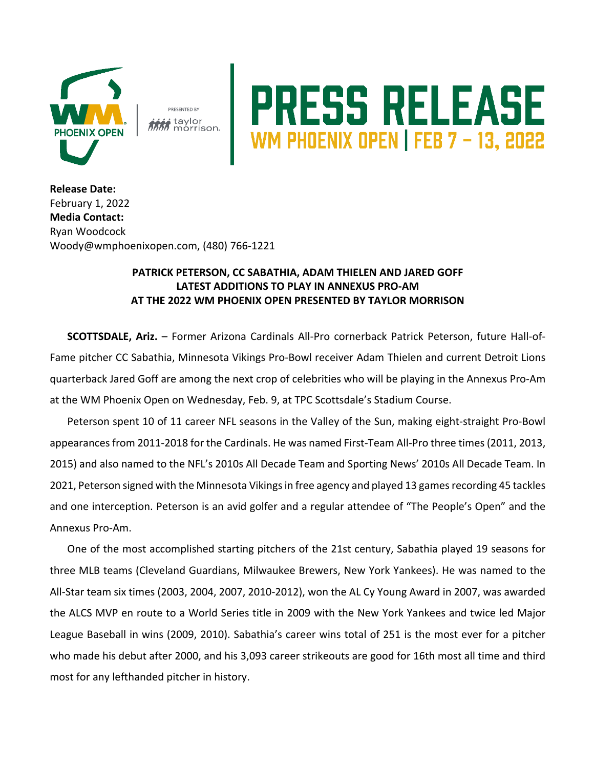

**PRESENTED BY is** taylor

## **PRESS RELEASE**<br>WM PHOENIX OPEN | FEB 7 – 13, 2022

**Release Date:**  February 1, 2022 **Media Contact:** Ryan Woodcock Woody@wmphoenixopen.com, (480) 766-1221

## **PATRICK PETERSON, CC SABATHIA, ADAM THIELEN AND JARED GOFF LATEST ADDITIONS TO PLAY IN ANNEXUS PRO-AM AT THE 2022 WM PHOENIX OPEN PRESENTED BY TAYLOR MORRISON**

**SCOTTSDALE, Ariz.** – Former Arizona Cardinals All-Pro cornerback Patrick Peterson, future Hall-of-Fame pitcher CC Sabathia, Minnesota Vikings Pro-Bowl receiver Adam Thielen and current Detroit Lions quarterback Jared Goff are among the next crop of celebrities who will be playing in the Annexus Pro-Am at the WM Phoenix Open on Wednesday, Feb. 9, at TPC Scottsdale's Stadium Course.

Peterson spent 10 of 11 career NFL seasons in the Valley of the Sun, making eight-straight Pro-Bowl appearances from 2011-2018 for the Cardinals. He was named First-Team All-Pro three times (2011, 2013, 2015) and also named to the NFL's 2010s All Decade Team and Sporting News' 2010s All Decade Team. In 2021, Peterson signed with the Minnesota Vikings in free agency and played 13 games recording 45 tackles and one interception. Peterson is an avid golfer and a regular attendee of "The People's Open" and the Annexus Pro-Am.

One of the most accomplished starting pitchers of the 21st century, Sabathia played 19 seasons for three MLB teams (Cleveland Guardians, Milwaukee Brewers, New York Yankees). He was named to the All-Star team six times (2003, 2004, 2007, 2010-2012), won the AL Cy Young Award in 2007, was awarded the ALCS MVP en route to a World Series title in 2009 with the New York Yankees and twice led Major League Baseball in wins (2009, 2010). Sabathia's career wins total of 251 is the most ever for a pitcher who made his debut after 2000, and his 3,093 career strikeouts are good for 16th most all time and third most for any lefthanded pitcher in history.